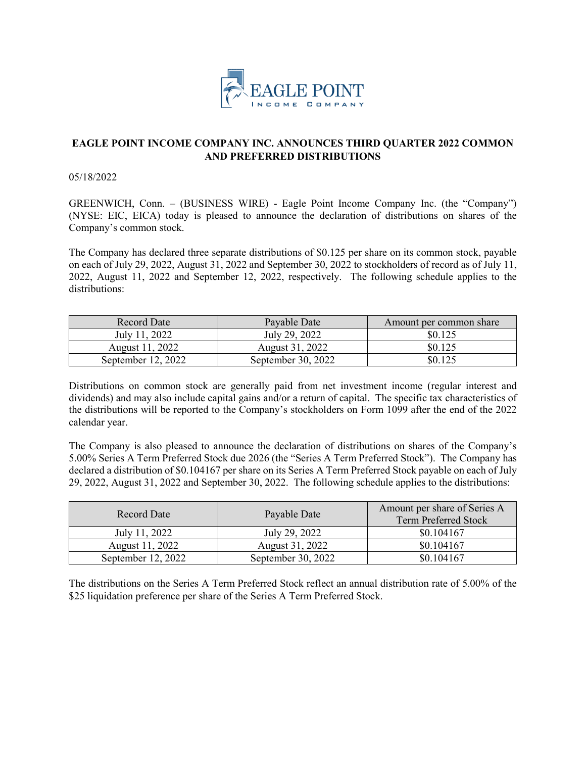

## **EAGLE POINT INCOME COMPANY INC. ANNOUNCES THIRD QUARTER 2022 COMMON AND PREFERRED DISTRIBUTIONS**

05/18/2022

GREENWICH, Conn. – (BUSINESS WIRE) - Eagle Point Income Company Inc. (the "Company") (NYSE: EIC, EICA) today is pleased to announce the declaration of distributions on shares of the Company's common stock.

The Company has declared three separate distributions of \$0.125 per share on its common stock, payable on each of July 29, 2022, August 31, 2022 and September 30, 2022 to stockholders of record as of July 11, 2022, August 11, 2022 and September 12, 2022, respectively. The following schedule applies to the distributions:

| Record Date        | Payable Date       | Amount per common share |
|--------------------|--------------------|-------------------------|
| July 11, 2022      | July 29, 2022      | \$0.125                 |
| August 11, 2022    | August 31, 2022    | \$0.125                 |
| September 12, 2022 | September 30, 2022 | \$0.125                 |

Distributions on common stock are generally paid from net investment income (regular interest and dividends) and may also include capital gains and/or a return of capital. The specific tax characteristics of the distributions will be reported to the Company's stockholders on Form 1099 after the end of the 2022 calendar year.

The Company is also pleased to announce the declaration of distributions on shares of the Company's 5.00% Series A Term Preferred Stock due 2026 (the "Series A Term Preferred Stock"). The Company has declared a distribution of \$0.104167 per share on its Series A Term Preferred Stock payable on each of July 29, 2022, August 31, 2022 and September 30, 2022. The following schedule applies to the distributions:

| Record Date        | Payable Date       | Amount per share of Series A<br><b>Term Preferred Stock</b> |
|--------------------|--------------------|-------------------------------------------------------------|
| July 11, 2022      | July 29, 2022      | \$0.104167                                                  |
| August 11, 2022    | August 31, 2022    | \$0.104167                                                  |
| September 12, 2022 | September 30, 2022 | \$0.104167                                                  |

The distributions on the Series A Term Preferred Stock reflect an annual distribution rate of 5.00% of the \$25 liquidation preference per share of the Series A Term Preferred Stock.